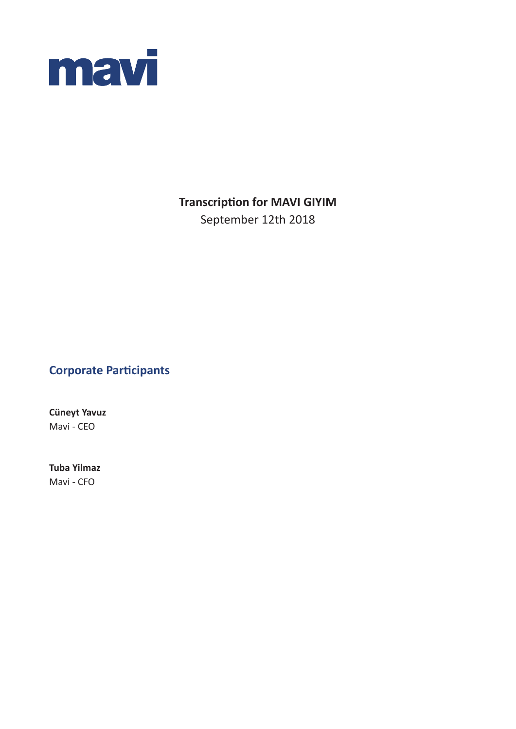

# **Transcription for MAVI GIYIM**

September 12th 2018

# **Corporate Participants**

**Cüneyt Yavuz**  Mavi - CEO

**Tuba Yilmaz** Mavi - CFO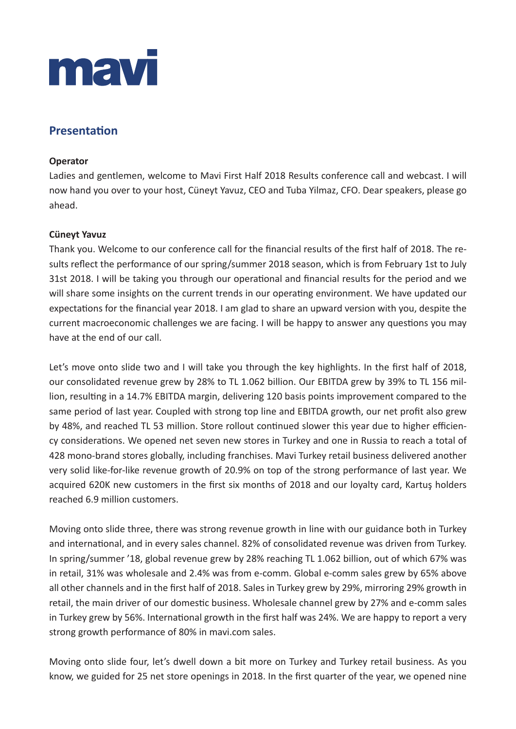

## **Presentation**

#### **Operator**

Ladies and gentlemen, welcome to Mavi First Half 2018 Results conference call and webcast. I will now hand you over to your host, Cüneyt Yavuz, CEO and Tuba Yilmaz, CFO. Dear speakers, please go ahead.

### **Cüneyt Yavuz**

Thank you. Welcome to our conference call for the financial results of the first half of 2018. The results reflect the performance of our spring/summer 2018 season, which is from February 1st to July 31st 2018. I will be taking you through our operational and financial results for the period and we will share some insights on the current trends in our operating environment. We have updated our expectations for the financial year 2018. I am glad to share an upward version with you, despite the current macroeconomic challenges we are facing. I will be happy to answer any questions you may have at the end of our call.

Let's move onto slide two and I will take you through the key highlights. In the first half of 2018, our consolidated revenue grew by 28% to TL 1.062 billion. Our EBITDA grew by 39% to TL 156 million, resulting in a 14.7% EBITDA margin, delivering 120 basis points improvement compared to the same period of last year. Coupled with strong top line and EBITDA growth, our net profit also grew by 48%, and reached TL 53 million. Store rollout continued slower this year due to higher efficiency considerations. We opened net seven new stores in Turkey and one in Russia to reach a total of 428 mono-brand stores globally, including franchises. Mavi Turkey retail business delivered another very solid like-for-like revenue growth of 20.9% on top of the strong performance of last year. We acquired 620K new customers in the first six months of 2018 and our loyalty card, Kartuş holders reached 6.9 million customers.

Moving onto slide three, there was strong revenue growth in line with our guidance both in Turkey and international, and in every sales channel. 82% of consolidated revenue was driven from Turkey. In spring/summer '18, global revenue grew by 28% reaching TL 1.062 billion, out of which 67% was in retail, 31% was wholesale and 2.4% was from e-comm. Global e-comm sales grew by 65% above all other channels and in the first half of 2018. Sales in Turkey grew by 29%, mirroring 29% growth in retail, the main driver of our domestic business. Wholesale channel grew by 27% and e-comm sales in Turkey grew by 56%. International growth in the first half was 24%. We are happy to report a very strong growth performance of 80% in mavi.com sales.

Moving onto slide four, let's dwell down a bit more on Turkey and Turkey retail business. As you know, we guided for 25 net store openings in 2018. In the first quarter of the year, we opened nine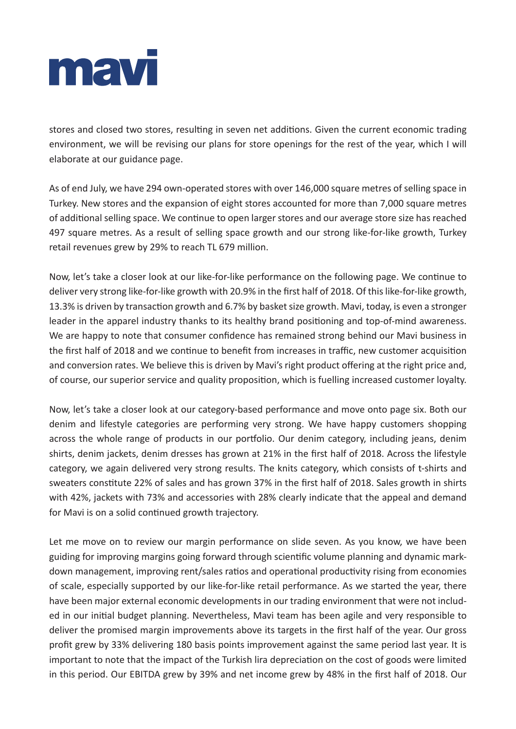

stores and closed two stores, resulting in seven net additions. Given the current economic trading environment, we will be revising our plans for store openings for the rest of the year, which I will elaborate at our guidance page.

As of end July, we have 294 own-operated stores with over 146,000 square metres of selling space in Turkey. New stores and the expansion of eight stores accounted for more than 7,000 square metres of additional selling space. We continue to open larger stores and our average store size has reached 497 square metres. As a result of selling space growth and our strong like-for-like growth, Turkey retail revenues grew by 29% to reach TL 679 million.

Now, let's take a closer look at our like-for-like performance on the following page. We continue to deliver very strong like-for-like growth with 20.9% in the first half of 2018. Of this like-for-like growth, 13.3% is driven by transaction growth and 6.7% by basket size growth. Mavi, today, is even a stronger leader in the apparel industry thanks to its healthy brand positioning and top-of-mind awareness. We are happy to note that consumer confidence has remained strong behind our Mavi business in the first half of 2018 and we continue to benefit from increases in traffic, new customer acquisition and conversion rates. We believe this is driven by Mavi's right product offering at the right price and, of course, our superior service and quality proposition, which is fuelling increased customer loyalty.

Now, let's take a closer look at our category-based performance and move onto page six. Both our denim and lifestyle categories are performing very strong. We have happy customers shopping across the whole range of products in our portfolio. Our denim category, including jeans, denim shirts, denim jackets, denim dresses has grown at 21% in the first half of 2018. Across the lifestyle category, we again delivered very strong results. The knits category, which consists of t-shirts and sweaters constitute 22% of sales and has grown 37% in the first half of 2018. Sales growth in shirts with 42%, jackets with 73% and accessories with 28% clearly indicate that the appeal and demand for Mavi is on a solid continued growth trajectory.

Let me move on to review our margin performance on slide seven. As you know, we have been guiding for improving margins going forward through scientific volume planning and dynamic markdown management, improving rent/sales ratios and operational productivity rising from economies of scale, especially supported by our like-for-like retail performance. As we started the year, there have been major external economic developments in our trading environment that were not included in our initial budget planning. Nevertheless, Mavi team has been agile and very responsible to deliver the promised margin improvements above its targets in the first half of the year. Our gross profit grew by 33% delivering 180 basis points improvement against the same period last year. It is important to note that the impact of the Turkish lira depreciation on the cost of goods were limited in this period. Our EBITDA grew by 39% and net income grew by 48% in the first half of 2018. Our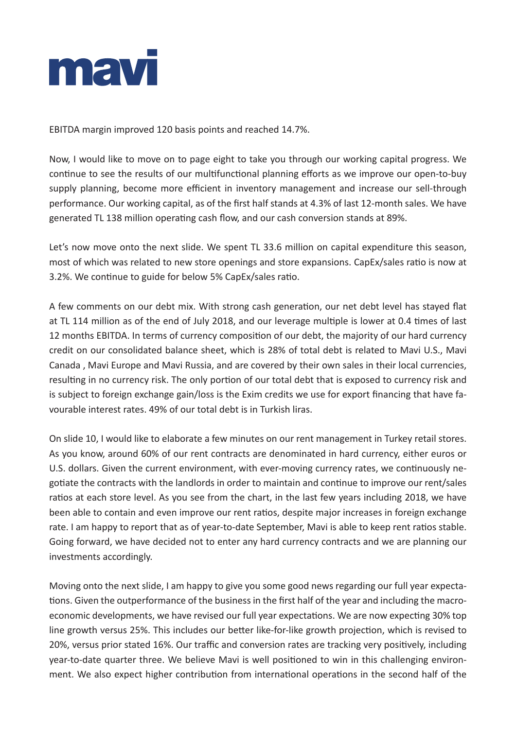

EBITDA margin improved 120 basis points and reached 14.7%.

Now, I would like to move on to page eight to take you through our working capital progress. We continue to see the results of our multifunctional planning efforts as we improve our open-to-buy supply planning, become more efficient in inventory management and increase our sell-through performance. Our working capital, as of the first half stands at 4.3% of last 12-month sales. We have generated TL 138 million operating cash flow, and our cash conversion stands at 89%.

Let's now move onto the next slide. We spent TL 33.6 million on capital expenditure this season, most of which was related to new store openings and store expansions. CapEx/sales ratio is now at 3.2%. We continue to guide for below 5% CapEx/sales ratio.

A few comments on our debt mix. With strong cash generation, our net debt level has stayed flat at TL 114 million as of the end of July 2018, and our leverage multiple is lower at 0.4 times of last 12 months EBITDA. In terms of currency composition of our debt, the majority of our hard currency credit on our consolidated balance sheet, which is 28% of total debt is related to Mavi U.S., Mavi Canada , Mavi Europe and Mavi Russia, and are covered by their own sales in their local currencies, resulting in no currency risk. The only portion of our total debt that is exposed to currency risk and is subject to foreign exchange gain/loss is the Exim credits we use for export financing that have favourable interest rates. 49% of our total debt is in Turkish liras.

On slide 10, I would like to elaborate a few minutes on our rent management in Turkey retail stores. As you know, around 60% of our rent contracts are denominated in hard currency, either euros or U.S. dollars. Given the current environment, with ever-moving currency rates, we continuously negotiate the contracts with the landlords in order to maintain and continue to improve our rent/sales ratios at each store level. As you see from the chart, in the last few years including 2018, we have been able to contain and even improve our rent ratios, despite major increases in foreign exchange rate. I am happy to report that as of year-to-date September, Mavi is able to keep rent ratios stable. Going forward, we have decided not to enter any hard currency contracts and we are planning our investments accordingly.

Moving onto the next slide, I am happy to give you some good news regarding our full year expectations. Given the outperformance of the business in the first half of the year and including the macroeconomic developments, we have revised our full year expectations. We are now expecting 30% top line growth versus 25%. This includes our better like-for-like growth projection, which is revised to 20%, versus prior stated 16%. Our traffic and conversion rates are tracking very positively, including year-to-date quarter three. We believe Mavi is well positioned to win in this challenging environment. We also expect higher contribution from international operations in the second half of the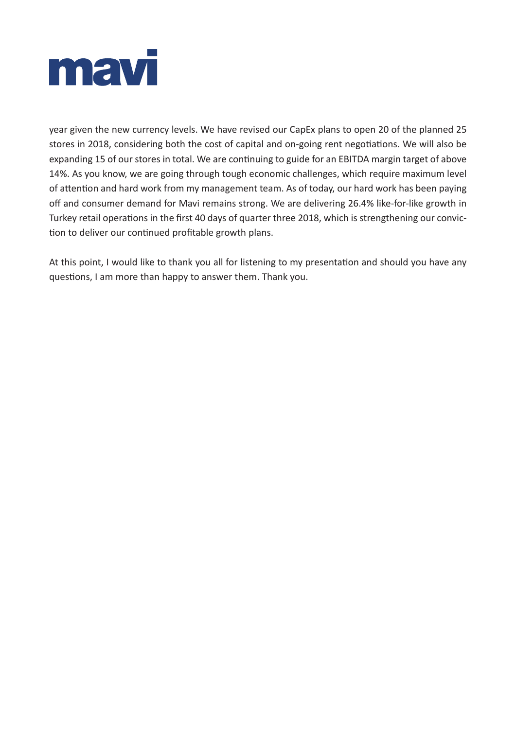

year given the new currency levels. We have revised our CapEx plans to open 20 of the planned 25 stores in 2018, considering both the cost of capital and on-going rent negotiations. We will also be expanding 15 of our stores in total. We are continuing to guide for an EBITDA margin target of above 14%. As you know, we are going through tough economic challenges, which require maximum level of attention and hard work from my management team. As of today, our hard work has been paying off and consumer demand for Mavi remains strong. We are delivering 26.4% like-for-like growth in Turkey retail operations in the first 40 days of quarter three 2018, which is strengthening our conviction to deliver our continued profitable growth plans.

At this point, I would like to thank you all for listening to my presentation and should you have any questions, I am more than happy to answer them. Thank you.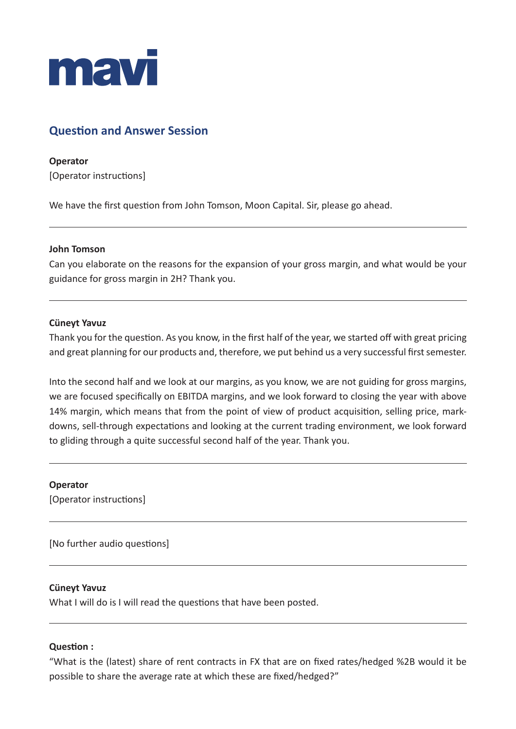

# **Question and Answer Session**

**Operator** [Operator instructions]

We have the first question from John Tomson, Moon Capital. Sir, please go ahead.

#### **John Tomson**

Can you elaborate on the reasons for the expansion of your gross margin, and what would be your guidance for gross margin in 2H? Thank you.

#### **Cüneyt Yavuz**

Thank you for the question. As you know, in the first half of the year, we started off with great pricing and great planning for our products and, therefore, we put behind us a very successful first semester.

Into the second half and we look at our margins, as you know, we are not guiding for gross margins, we are focused specifically on EBITDA margins, and we look forward to closing the year with above 14% margin, which means that from the point of view of product acquisition, selling price, markdowns, sell-through expectations and looking at the current trading environment, we look forward to gliding through a quite successful second half of the year. Thank you.

#### **Operator**

[Operator instructions]

[No further audio questions]

#### **Cüneyt Yavuz**

What I will do is I will read the questions that have been posted.

#### **Question :**

"What is the (latest) share of rent contracts in FX that are on fixed rates/hedged %2B would it be possible to share the average rate at which these are fixed/hedged?"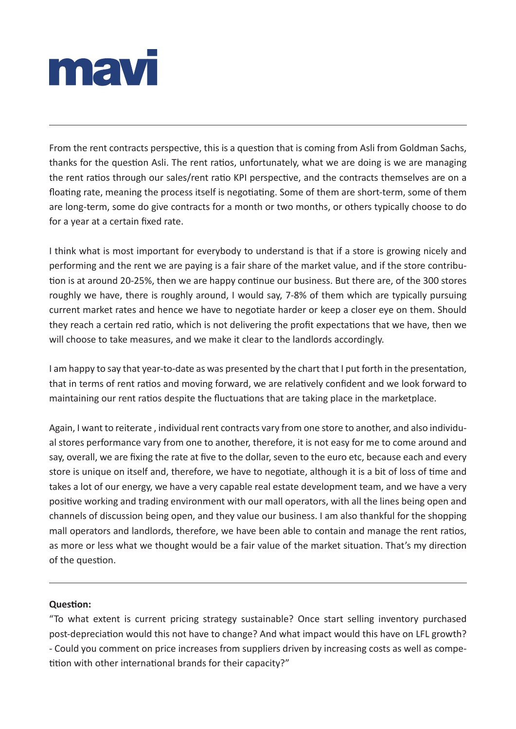

From the rent contracts perspective, this is a question that is coming from Asli from Goldman Sachs, thanks for the question Asli. The rent ratios, unfortunately, what we are doing is we are managing the rent ratios through our sales/rent ratio KPI perspective, and the contracts themselves are on a floating rate, meaning the process itself is negotiating. Some of them are short-term, some of them are long-term, some do give contracts for a month or two months, or others typically choose to do for a year at a certain fixed rate.

I think what is most important for everybody to understand is that if a store is growing nicely and performing and the rent we are paying is a fair share of the market value, and if the store contribution is at around 20-25%, then we are happy continue our business. But there are, of the 300 stores roughly we have, there is roughly around, I would say, 7-8% of them which are typically pursuing current market rates and hence we have to negotiate harder or keep a closer eye on them. Should they reach a certain red ratio, which is not delivering the profit expectations that we have, then we will choose to take measures, and we make it clear to the landlords accordingly.

I am happy to say that year-to-date as was presented by the chart that I put forth in the presentation, that in terms of rent ratios and moving forward, we are relatively confident and we look forward to maintaining our rent ratios despite the fluctuations that are taking place in the marketplace.

Again, I want to reiterate , individual rent contracts vary from one store to another, and also individual stores performance vary from one to another, therefore, it is not easy for me to come around and say, overall, we are fixing the rate at five to the dollar, seven to the euro etc, because each and every store is unique on itself and, therefore, we have to negotiate, although it is a bit of loss of time and takes a lot of our energy, we have a very capable real estate development team, and we have a very positive working and trading environment with our mall operators, with all the lines being open and channels of discussion being open, and they value our business. I am also thankful for the shopping mall operators and landlords, therefore, we have been able to contain and manage the rent ratios, as more or less what we thought would be a fair value of the market situation. That's my direction of the question.

## **Question:**

"To what extent is current pricing strategy sustainable? Once start selling inventory purchased post-depreciation would this not have to change? And what impact would this have on LFL growth? - Could you comment on price increases from suppliers driven by increasing costs as well as competition with other international brands for their capacity?"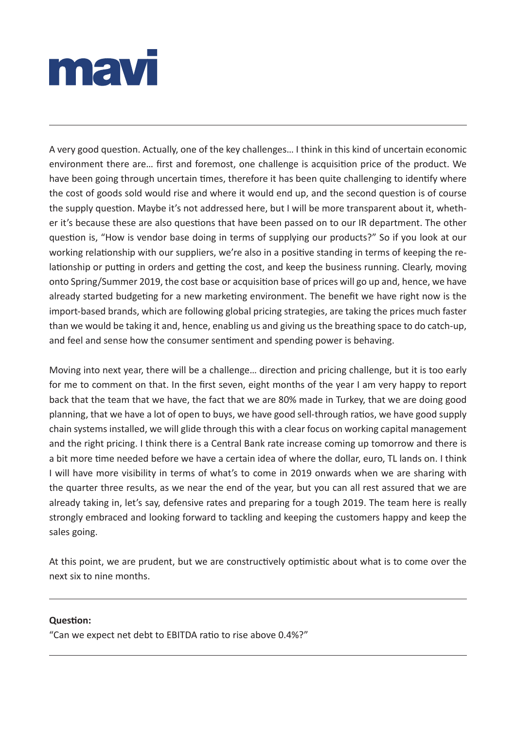

A very good question. Actually, one of the key challenges… I think in this kind of uncertain economic environment there are… first and foremost, one challenge is acquisition price of the product. We have been going through uncertain times, therefore it has been quite challenging to identify where the cost of goods sold would rise and where it would end up, and the second question is of course the supply question. Maybe it's not addressed here, but I will be more transparent about it, whether it's because these are also questions that have been passed on to our IR department. The other question is, "How is vendor base doing in terms of supplying our products?" So if you look at our working relationship with our suppliers, we're also in a positive standing in terms of keeping the relationship or putting in orders and getting the cost, and keep the business running. Clearly, moving onto Spring/Summer 2019, the cost base or acquisition base of prices will go up and, hence, we have already started budgeting for a new marketing environment. The benefit we have right now is the import-based brands, which are following global pricing strategies, are taking the prices much faster than we would be taking it and, hence, enabling us and giving us the breathing space to do catch-up, and feel and sense how the consumer sentiment and spending power is behaving.

Moving into next year, there will be a challenge… direction and pricing challenge, but it is too early for me to comment on that. In the first seven, eight months of the year I am very happy to report back that the team that we have, the fact that we are 80% made in Turkey, that we are doing good planning, that we have a lot of open to buys, we have good sell-through ratios, we have good supply chain systems installed, we will glide through this with a clear focus on working capital management and the right pricing. I think there is a Central Bank rate increase coming up tomorrow and there is a bit more time needed before we have a certain idea of where the dollar, euro, TL lands on. I think I will have more visibility in terms of what's to come in 2019 onwards when we are sharing with the quarter three results, as we near the end of the year, but you can all rest assured that we are already taking in, let's say, defensive rates and preparing for a tough 2019. The team here is really strongly embraced and looking forward to tackling and keeping the customers happy and keep the sales going.

At this point, we are prudent, but we are constructively optimistic about what is to come over the next six to nine months.

#### **Question:**

"Can we expect net debt to EBITDA ratio to rise above 0.4%?"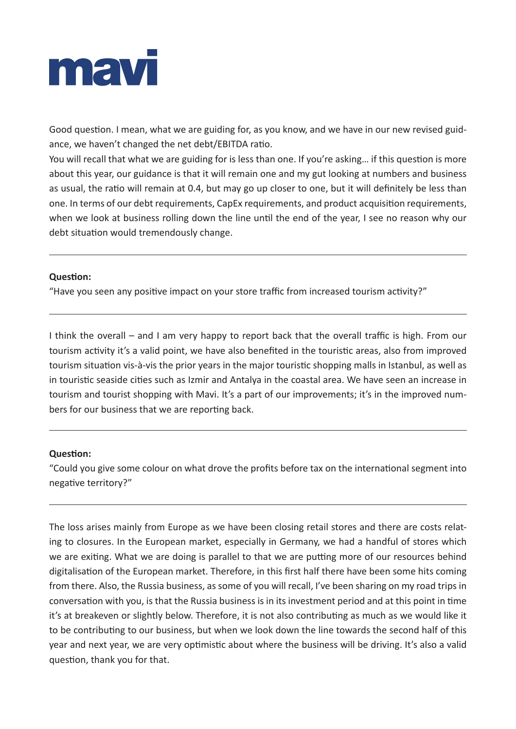

Good question. I mean, what we are guiding for, as you know, and we have in our new revised guidance, we haven't changed the net debt/EBITDA ratio.

You will recall that what we are guiding for is less than one. If you're asking… if this question is more about this year, our guidance is that it will remain one and my gut looking at numbers and business as usual, the ratio will remain at 0.4, but may go up closer to one, but it will definitely be less than one. In terms of our debt requirements, CapEx requirements, and product acquisition requirements, when we look at business rolling down the line until the end of the year, I see no reason why our debt situation would tremendously change.

#### **Question:**

"Have you seen any positive impact on your store traffic from increased tourism activity?"

I think the overall – and I am very happy to report back that the overall traffic is high. From our tourism activity it's a valid point, we have also benefited in the touristic areas, also from improved tourism situation vis-à-vis the prior years in the major touristic shopping malls in Istanbul, as well as in touristic seaside cities such as Izmir and Antalya in the coastal area. We have seen an increase in tourism and tourist shopping with Mavi. It's a part of our improvements; it's in the improved numbers for our business that we are reporting back.

#### **Question:**

"Could you give some colour on what drove the profits before tax on the international segment into negative territory?"

The loss arises mainly from Europe as we have been closing retail stores and there are costs relating to closures. In the European market, especially in Germany, we had a handful of stores which we are exiting. What we are doing is parallel to that we are putting more of our resources behind digitalisation of the European market. Therefore, in this first half there have been some hits coming from there. Also, the Russia business, as some of you will recall, I've been sharing on my road trips in conversation with you, is that the Russia business is in its investment period and at this point in time it's at breakeven or slightly below. Therefore, it is not also contributing as much as we would like it to be contributing to our business, but when we look down the line towards the second half of this year and next year, we are very optimistic about where the business will be driving. It's also a valid question, thank you for that.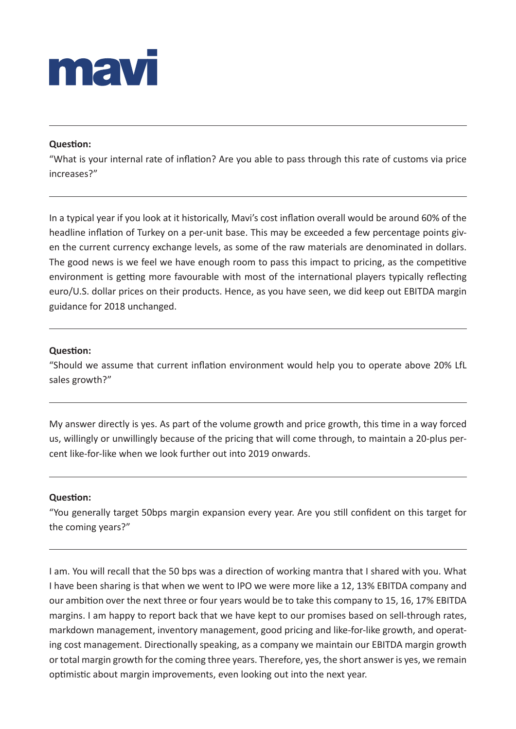

#### **Question:**

"What is your internal rate of inflation? Are you able to pass through this rate of customs via price increases?"

In a typical year if you look at it historically, Mavi's cost inflation overall would be around 60% of the headline inflation of Turkey on a per-unit base. This may be exceeded a few percentage points given the current currency exchange levels, as some of the raw materials are denominated in dollars. The good news is we feel we have enough room to pass this impact to pricing, as the competitive environment is getting more favourable with most of the international players typically reflecting euro/U.S. dollar prices on their products. Hence, as you have seen, we did keep out EBITDA margin guidance for 2018 unchanged.

#### **Question:**

"Should we assume that current inflation environment would help you to operate above 20% LfL sales growth?"

My answer directly is yes. As part of the volume growth and price growth, this time in a way forced us, willingly or unwillingly because of the pricing that will come through, to maintain a 20-plus percent like-for-like when we look further out into 2019 onwards.

#### **Question:**

"You generally target 50bps margin expansion every year. Are you still confident on this target for the coming years?"

I am. You will recall that the 50 bps was a direction of working mantra that I shared with you. What I have been sharing is that when we went to IPO we were more like a 12, 13% EBITDA company and our ambition over the next three or four years would be to take this company to 15, 16, 17% EBITDA margins. I am happy to report back that we have kept to our promises based on sell-through rates, markdown management, inventory management, good pricing and like-for-like growth, and operating cost management. Directionally speaking, as a company we maintain our EBITDA margin growth or total margin growth for the coming three years. Therefore, yes, the short answer is yes, we remain optimistic about margin improvements, even looking out into the next year.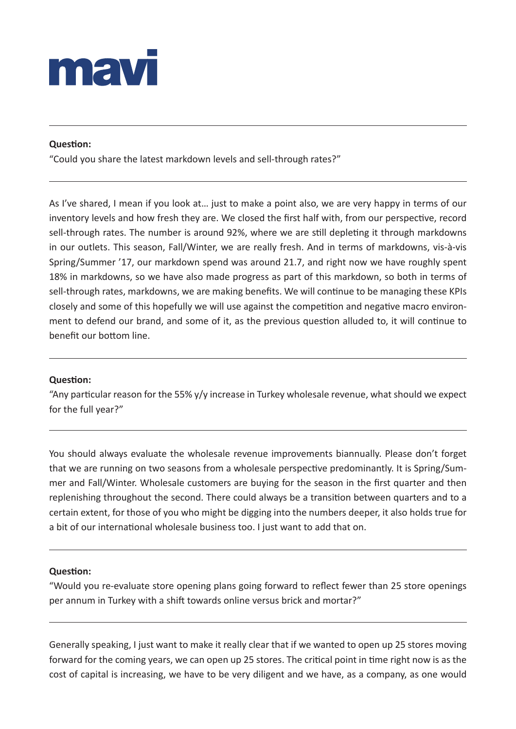

#### **Question:**

"Could you share the latest markdown levels and sell-through rates?"

As I've shared, I mean if you look at… just to make a point also, we are very happy in terms of our inventory levels and how fresh they are. We closed the first half with, from our perspective, record sell-through rates. The number is around 92%, where we are still depleting it through markdowns in our outlets. This season, Fall/Winter, we are really fresh. And in terms of markdowns, vis-à-vis Spring/Summer '17, our markdown spend was around 21.7, and right now we have roughly spent 18% in markdowns, so we have also made progress as part of this markdown, so both in terms of sell-through rates, markdowns, we are making benefits. We will continue to be managing these KPIs closely and some of this hopefully we will use against the competition and negative macro environment to defend our brand, and some of it, as the previous question alluded to, it will continue to benefit our bottom line.

#### **Question:**

"Any particular reason for the 55% y/y increase in Turkey wholesale revenue, what should we expect for the full year?"

You should always evaluate the wholesale revenue improvements biannually. Please don't forget that we are running on two seasons from a wholesale perspective predominantly. It is Spring/Summer and Fall/Winter. Wholesale customers are buying for the season in the first quarter and then replenishing throughout the second. There could always be a transition between quarters and to a certain extent, for those of you who might be digging into the numbers deeper, it also holds true for a bit of our international wholesale business too. I just want to add that on.

#### **Question:**

"Would you re-evaluate store opening plans going forward to reflect fewer than 25 store openings per annum in Turkey with a shift towards online versus brick and mortar?"

Generally speaking, I just want to make it really clear that if we wanted to open up 25 stores moving forward for the coming years, we can open up 25 stores. The critical point in time right now is as the cost of capital is increasing, we have to be very diligent and we have, as a company, as one would